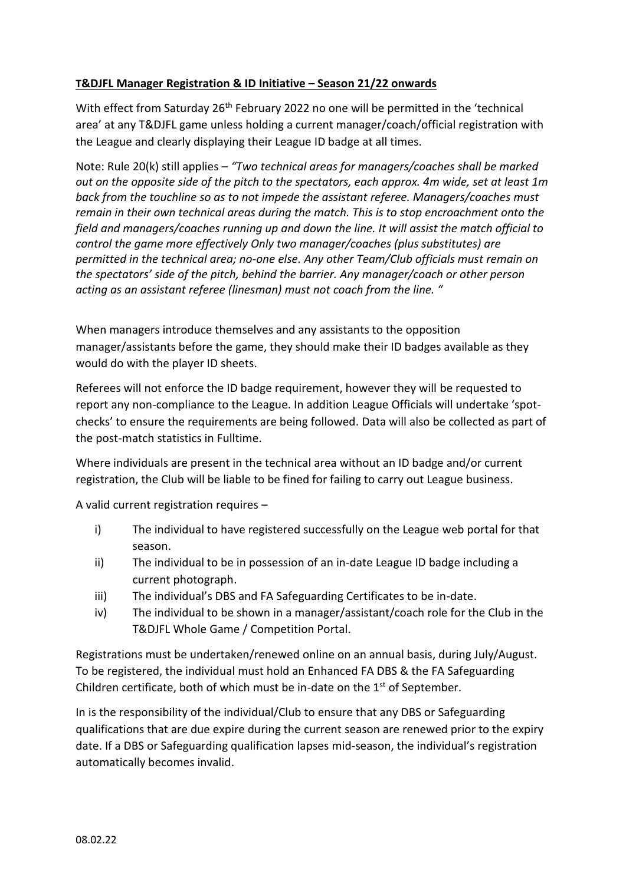## **T&DJFL Manager Registration & ID Initiative – Season 21/22 onwards**

With effect from Saturday 26<sup>th</sup> February 2022 no one will be permitted in the 'technical area' at any T&DJFL game unless holding a current manager/coach/official registration with the League and clearly displaying their League ID badge at all times.

Note: Rule 20(k) still applies – *"Two technical areas for managers/coaches shall be marked out on the opposite side of the pitch to the spectators, each approx. 4m wide, set at least 1m back from the touchline so as to not impede the assistant referee. Managers/coaches must remain in their own technical areas during the match. This is to stop encroachment onto the field and managers/coaches running up and down the line. It will assist the match official to control the game more effectively Only two manager/coaches (plus substitutes) are permitted in the technical area; no-one else. Any other Team/Club officials must remain on the spectators' side of the pitch, behind the barrier. Any manager/coach or other person acting as an assistant referee (linesman) must not coach from the line. "*

When managers introduce themselves and any assistants to the opposition manager/assistants before the game, they should make their ID badges available as they would do with the player ID sheets.

Referees will not enforce the ID badge requirement, however they will be requested to report any non-compliance to the League. In addition League Officials will undertake 'spotchecks' to ensure the requirements are being followed. Data will also be collected as part of the post-match statistics in Fulltime.

Where individuals are present in the technical area without an ID badge and/or current registration, the Club will be liable to be fined for failing to carry out League business.

A valid current registration requires –

- i) The individual to have registered successfully on the League web portal for that season.
- ii) The individual to be in possession of an in-date League ID badge including a current photograph.
- iii) The individual's DBS and FA Safeguarding Certificates to be in-date.
- iv) The individual to be shown in a manager/assistant/coach role for the Club in the T&DJFL Whole Game / Competition Portal.

Registrations must be undertaken/renewed online on an annual basis, during July/August. To be registered, the individual must hold an Enhanced FA DBS & the FA Safeguarding Children certificate, both of which must be in-date on the  $1<sup>st</sup>$  of September.

In is the responsibility of the individual/Club to ensure that any DBS or Safeguarding qualifications that are due expire during the current season are renewed prior to the expiry date. If a DBS or Safeguarding qualification lapses mid-season, the individual's registration automatically becomes invalid.